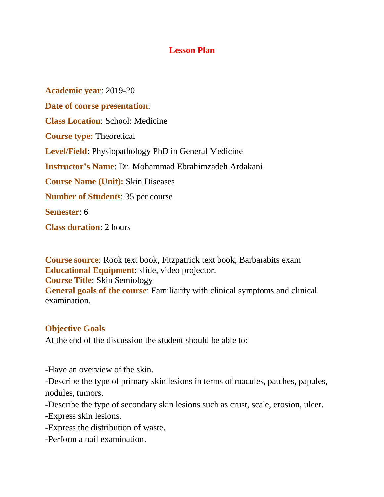## **Lesson Plan**

**Academic year**: 2019-20 **Date of course presentation**: **Class Location**: School: Medicine **Course type:** Theoretical **Level/Field**: Physiopathology PhD in General Medicine **Instructor's Name**: Dr. Mohammad Ebrahimzadeh Ardakani **Course Name (Unit):** Skin Diseases **Number of Students**: 35 per course **Semester**: 6 **Class duration**: 2 hours

**Course source**: Rook text book, Fitzpatrick text book, Barbarabits exam **Educational Equipment**: slide, video projector. **Course Title**: Skin Semiology **General goals of the course**: Familiarity with clinical symptoms and clinical examination.

## **Objective Goals**

At the end of the discussion the student should be able to:

-Have an overview of the skin.

-Describe the type of primary skin lesions in terms of macules, patches, papules, nodules, tumors.

-Describe the type of secondary skin lesions such as crust, scale, erosion, ulcer.

-Express skin lesions.

-Express the distribution of waste.

-Perform a nail examination.